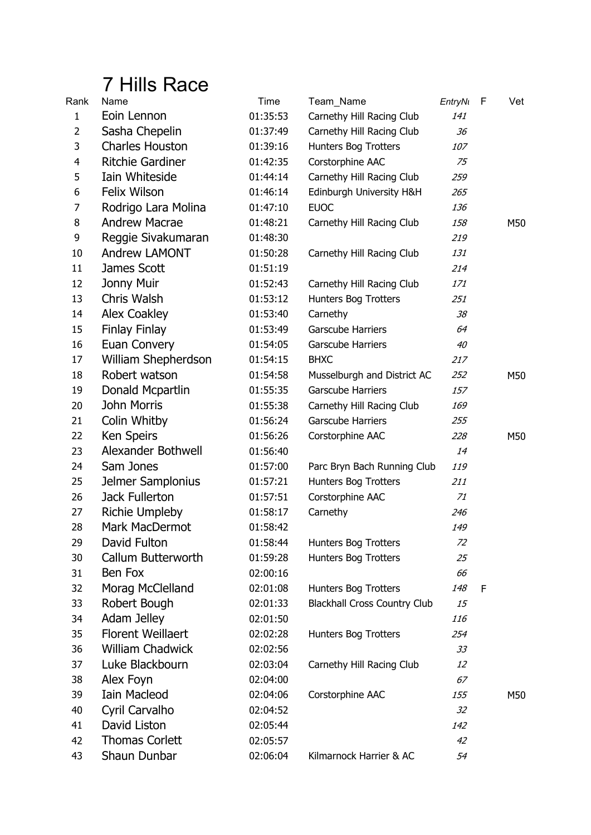## 7 Hills Race

| Rank                    | Name                     | Time     | Team_Name                           | EntryNi | F | Vet |
|-------------------------|--------------------------|----------|-------------------------------------|---------|---|-----|
| $\mathbf{1}$            | Eoin Lennon              | 01:35:53 | Carnethy Hill Racing Club           | 141     |   |     |
| $\overline{2}$          | Sasha Chepelin           | 01:37:49 | Carnethy Hill Racing Club           | 36      |   |     |
| 3                       | <b>Charles Houston</b>   | 01:39:16 | Hunters Bog Trotters                | 107     |   |     |
| $\overline{\mathbf{4}}$ | <b>Ritchie Gardiner</b>  | 01:42:35 | Corstorphine AAC                    | 75      |   |     |
| 5                       | Iain Whiteside           | 01:44:14 | Carnethy Hill Racing Club           | 259     |   |     |
| 6                       | <b>Felix Wilson</b>      | 01:46:14 | Edinburgh University H&H            | 265     |   |     |
| $\overline{7}$          | Rodrigo Lara Molina      | 01:47:10 | <b>EUOC</b>                         | 136     |   |     |
| 8                       | <b>Andrew Macrae</b>     | 01:48:21 | Carnethy Hill Racing Club           | 158     |   | M50 |
| 9                       | Reggie Sivakumaran       | 01:48:30 |                                     | 219     |   |     |
| 10                      | <b>Andrew LAMONT</b>     | 01:50:28 | Carnethy Hill Racing Club           | 131     |   |     |
| 11                      | James Scott              | 01:51:19 |                                     | 214     |   |     |
| 12                      | Jonny Muir               | 01:52:43 | Carnethy Hill Racing Club           | 171     |   |     |
| 13                      | Chris Walsh              | 01:53:12 | Hunters Bog Trotters                | 251     |   |     |
| 14                      | Alex Coakley             | 01:53:40 | Carnethy                            | 38      |   |     |
| 15                      | <b>Finlay Finlay</b>     | 01:53:49 | Garscube Harriers                   | 64      |   |     |
| 16                      | Euan Convery             | 01:54:05 | Garscube Harriers                   | 40      |   |     |
| 17                      | William Shepherdson      | 01:54:15 | <b>BHXC</b>                         | 217     |   |     |
| 18                      | Robert watson            | 01:54:58 | Musselburgh and District AC         | 252     |   | M50 |
| 19                      | Donald Mcpartlin         | 01:55:35 | Garscube Harriers                   | 157     |   |     |
| 20                      | <b>John Morris</b>       | 01:55:38 | Carnethy Hill Racing Club           | 169     |   |     |
| 21                      | Colin Whitby             | 01:56:24 | Garscube Harriers                   | 255     |   |     |
| 22                      | Ken Speirs               | 01:56:26 | Corstorphine AAC                    | 228     |   | M50 |
| 23                      | Alexander Bothwell       | 01:56:40 |                                     | 14      |   |     |
| 24                      | Sam Jones                | 01:57:00 | Parc Bryn Bach Running Club         | 119     |   |     |
| 25                      | Jelmer Samplonius        | 01:57:21 | Hunters Bog Trotters                | 211     |   |     |
| 26                      | Jack Fullerton           | 01:57:51 | Corstorphine AAC                    | 71      |   |     |
| 27                      | <b>Richie Umpleby</b>    | 01:58:17 | Carnethy                            | 246     |   |     |
| 28                      | Mark MacDermot           | 01:58:42 |                                     | 149     |   |     |
| 29                      | David Fulton             | 01:58:44 | Hunters Bog Trotters                | 72      |   |     |
| 30                      | Callum Butterworth       | 01:59:28 | Hunters Bog Trotters                | 25      |   |     |
| 31                      | Ben Fox                  | 02:00:16 |                                     | 66      |   |     |
| 32                      | Morag McClelland         | 02:01:08 | Hunters Bog Trotters                | 148     | F |     |
| 33                      | Robert Bough             | 02:01:33 | <b>Blackhall Cross Country Club</b> | 15      |   |     |
| 34                      | Adam Jelley              | 02:01:50 |                                     | 116     |   |     |
| 35                      | <b>Florent Weillaert</b> | 02:02:28 | <b>Hunters Bog Trotters</b>         | 254     |   |     |
| 36                      | William Chadwick         | 02:02:56 |                                     | 33      |   |     |
| 37                      | Luke Blackbourn          | 02:03:04 | Carnethy Hill Racing Club           | 12      |   |     |
| 38                      | Alex Foyn                | 02:04:00 |                                     | 67      |   |     |
| 39                      | <b>Iain Macleod</b>      | 02:04:06 | Corstorphine AAC                    | 155     |   | M50 |
| 40                      | Cyril Carvalho           | 02:04:52 |                                     | 32      |   |     |
| 41                      | David Liston             | 02:05:44 |                                     | 142     |   |     |
| 42                      | <b>Thomas Corlett</b>    | 02:05:57 |                                     | 42      |   |     |
| 43                      | Shaun Dunbar             | 02:06:04 | Kilmarnock Harrier & AC             | 54      |   |     |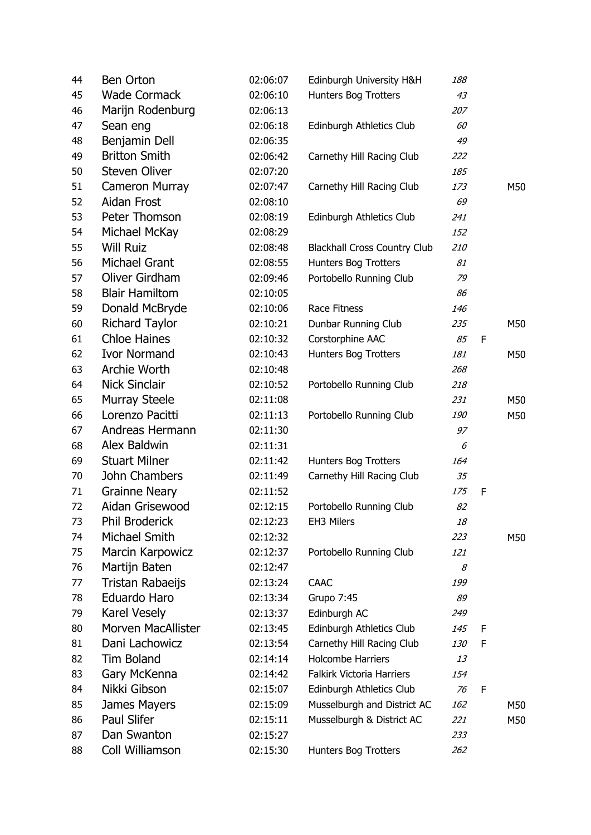| 44 | <b>Ben Orton</b>          | 02:06:07 | Edinburgh University H&H            | 188 |   |     |
|----|---------------------------|----------|-------------------------------------|-----|---|-----|
| 45 | <b>Wade Cormack</b>       | 02:06:10 | Hunters Bog Trotters                | 43  |   |     |
| 46 | Marijn Rodenburg          | 02:06:13 |                                     | 207 |   |     |
| 47 | Sean eng                  | 02:06:18 | Edinburgh Athletics Club            | 60  |   |     |
| 48 | Benjamin Dell             | 02:06:35 |                                     | 49  |   |     |
| 49 | <b>Britton Smith</b>      | 02:06:42 | Carnethy Hill Racing Club           | 222 |   |     |
| 50 | <b>Steven Oliver</b>      | 02:07:20 |                                     | 185 |   |     |
| 51 | <b>Cameron Murray</b>     | 02:07:47 | Carnethy Hill Racing Club           | 173 |   | M50 |
| 52 | Aidan Frost               | 02:08:10 |                                     | 69  |   |     |
| 53 | Peter Thomson             | 02:08:19 | Edinburgh Athletics Club            | 241 |   |     |
| 54 | Michael McKay             | 02:08:29 |                                     | 152 |   |     |
| 55 | <b>Will Ruiz</b>          | 02:08:48 | <b>Blackhall Cross Country Club</b> | 210 |   |     |
| 56 | Michael Grant             | 02:08:55 | Hunters Bog Trotters                | 81  |   |     |
| 57 | Oliver Girdham            | 02:09:46 | Portobello Running Club             | 79  |   |     |
| 58 | <b>Blair Hamiltom</b>     | 02:10:05 |                                     | 86  |   |     |
| 59 | Donald McBryde            | 02:10:06 | Race Fitness                        | 146 |   |     |
| 60 | <b>Richard Taylor</b>     | 02:10:21 | Dunbar Running Club                 | 235 |   | M50 |
| 61 | <b>Chloe Haines</b>       | 02:10:32 | Corstorphine AAC                    | 85  | F |     |
| 62 | <b>Ivor Normand</b>       | 02:10:43 | Hunters Bog Trotters                | 181 |   | M50 |
| 63 | Archie Worth              | 02:10:48 |                                     | 268 |   |     |
| 64 | <b>Nick Sinclair</b>      | 02:10:52 | Portobello Running Club             | 218 |   |     |
| 65 | <b>Murray Steele</b>      | 02:11:08 |                                     | 231 |   | M50 |
| 66 | Lorenzo Pacitti           | 02:11:13 | Portobello Running Club             | 190 |   | M50 |
| 67 | Andreas Hermann           | 02:11:30 |                                     | 97  |   |     |
| 68 | Alex Baldwin              | 02:11:31 |                                     | 6   |   |     |
| 69 | <b>Stuart Milner</b>      | 02:11:42 | Hunters Bog Trotters                | 164 |   |     |
| 70 | John Chambers             | 02:11:49 | Carnethy Hill Racing Club           | 35  |   |     |
| 71 | <b>Grainne Neary</b>      | 02:11:52 |                                     | 175 | F |     |
| 72 | Aidan Grisewood           | 02:12:15 | Portobello Running Club             | 82  |   |     |
| 73 | <b>Phil Broderick</b>     | 02:12:23 | EH3 Milers                          | 18  |   |     |
| 74 | Michael Smith             | 02:12:32 |                                     | 223 |   | M50 |
| 75 | <b>Marcin Karpowicz</b>   | 02:12:37 | Portobello Running Club             | 121 |   |     |
| 76 | Martijn Baten             | 02:12:47 |                                     | 8   |   |     |
| 77 | Tristan Rabaeijs          | 02:13:24 | <b>CAAC</b>                         | 199 |   |     |
| 78 | Eduardo Haro              | 02:13:34 | <b>Grupo 7:45</b>                   | 89  |   |     |
| 79 | <b>Karel Vesely</b>       | 02:13:37 | Edinburgh AC                        | 249 |   |     |
| 80 | <b>Morven MacAllister</b> | 02:13:45 | Edinburgh Athletics Club            | 145 | F |     |
| 81 | Dani Lachowicz            | 02:13:54 | Carnethy Hill Racing Club           | 130 | F |     |
| 82 | <b>Tim Boland</b>         | 02:14:14 | <b>Holcombe Harriers</b>            | 13  |   |     |
| 83 | Gary McKenna              | 02:14:42 | Falkirk Victoria Harriers           | 154 |   |     |
| 84 | Nikki Gibson              | 02:15:07 | Edinburgh Athletics Club            | 76  | F |     |
| 85 | James Mayers              | 02:15:09 | Musselburgh and District AC         | 162 |   | M50 |
| 86 | Paul Slifer               | 02:15:11 | Musselburgh & District AC           | 221 |   | M50 |
| 87 | Dan Swanton               | 02:15:27 |                                     | 233 |   |     |
| 88 | Coll Williamson           | 02:15:30 | Hunters Bog Trotters                | 262 |   |     |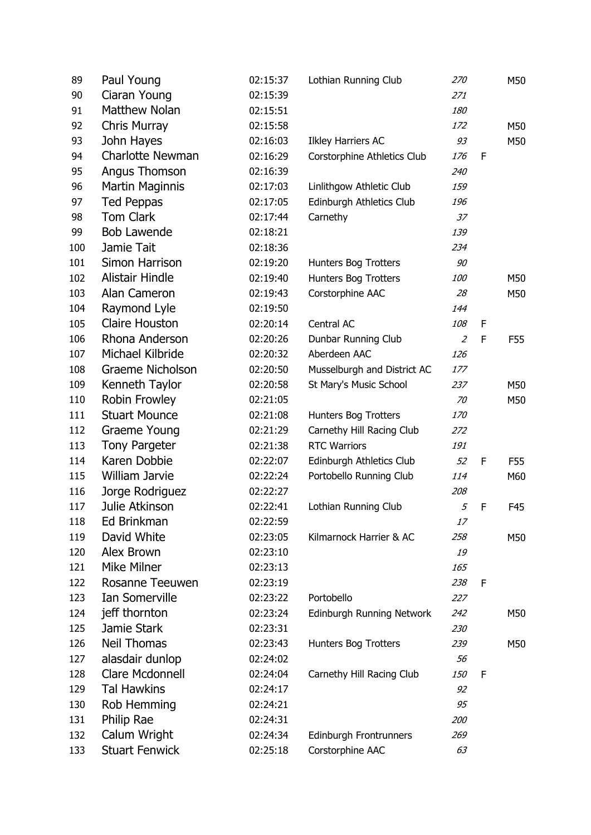| 89  | Paul Young              | 02:15:37 | Lothian Running Club        | 270            |   | M50 |
|-----|-------------------------|----------|-----------------------------|----------------|---|-----|
| 90  | Ciaran Young            | 02:15:39 |                             | 271            |   |     |
| 91  | <b>Matthew Nolan</b>    | 02:15:51 |                             | 180            |   |     |
| 92  | Chris Murray            | 02:15:58 |                             | 172            |   | M50 |
| 93  | John Hayes              | 02:16:03 | <b>Ilkley Harriers AC</b>   | 93             |   | M50 |
| 94  | <b>Charlotte Newman</b> | 02:16:29 | Corstorphine Athletics Club | 176            | F |     |
| 95  | Angus Thomson           | 02:16:39 |                             | 240            |   |     |
| 96  | <b>Martin Maginnis</b>  | 02:17:03 | Linlithgow Athletic Club    | 159            |   |     |
| 97  | <b>Ted Peppas</b>       | 02:17:05 | Edinburgh Athletics Club    | 196            |   |     |
| 98  | <b>Tom Clark</b>        | 02:17:44 | Carnethy                    | 37             |   |     |
| 99  | <b>Bob Lawende</b>      | 02:18:21 |                             | 139            |   |     |
| 100 | Jamie Tait              | 02:18:36 |                             | 234            |   |     |
| 101 | Simon Harrison          | 02:19:20 | Hunters Bog Trotters        | 90             |   |     |
| 102 | <b>Alistair Hindle</b>  | 02:19:40 | Hunters Bog Trotters        | 100            |   | M50 |
| 103 | Alan Cameron            | 02:19:43 | Corstorphine AAC            | 28             |   | M50 |
| 104 | Raymond Lyle            | 02:19:50 |                             | 144            |   |     |
| 105 | <b>Claire Houston</b>   | 02:20:14 | Central AC                  | 108            | F |     |
| 106 | Rhona Anderson          | 02:20:26 | Dunbar Running Club         | $\overline{2}$ | F | F55 |
| 107 | Michael Kilbride        | 02:20:32 | Aberdeen AAC                | 126            |   |     |
| 108 | <b>Graeme Nicholson</b> | 02:20:50 | Musselburgh and District AC | 177            |   |     |
| 109 | Kenneth Taylor          | 02:20:58 | St Mary's Music School      | 237            |   | M50 |
| 110 | Robin Frowley           | 02:21:05 |                             | 70             |   | M50 |
| 111 | <b>Stuart Mounce</b>    | 02:21:08 | Hunters Bog Trotters        | 170            |   |     |
| 112 | Graeme Young            | 02:21:29 | Carnethy Hill Racing Club   | 272            |   |     |
| 113 | <b>Tony Pargeter</b>    | 02:21:38 | <b>RTC Warriors</b>         | 191            |   |     |
| 114 | Karen Dobbie            | 02:22:07 | Edinburgh Athletics Club    | 52             | F | F55 |
| 115 | William Jarvie          | 02:22:24 | Portobello Running Club     | 114            |   | M60 |
| 116 | Jorge Rodriguez         | 02:22:27 |                             | 208            |   |     |
| 117 | Julie Atkinson          | 02:22:41 | Lothian Running Club        | 5              | F | F45 |
| 118 | Ed Brinkman             | 02:22:59 |                             | 17             |   |     |
| 119 | David White             | 02:23:05 | Kilmarnock Harrier & AC     | 258            |   | M50 |
| 120 | Alex Brown              | 02:23:10 |                             | 19             |   |     |
| 121 | <b>Mike Milner</b>      | 02:23:13 |                             | 165            |   |     |
| 122 | <b>Rosanne Teeuwen</b>  | 02:23:19 |                             | 238            | F |     |
| 123 | <b>Ian Somerville</b>   | 02:23:22 | Portobello                  | 227            |   |     |
| 124 | jeff thornton           | 02:23:24 | Edinburgh Running Network   | 242            |   | M50 |
| 125 | Jamie Stark             | 02:23:31 |                             | 230            |   |     |
| 126 | <b>Neil Thomas</b>      | 02:23:43 | <b>Hunters Bog Trotters</b> | 239            |   | M50 |
| 127 | alasdair dunlop         | 02:24:02 |                             | 56             |   |     |
| 128 | <b>Clare Mcdonnell</b>  | 02:24:04 | Carnethy Hill Racing Club   | 150            | F |     |
| 129 | <b>Tal Hawkins</b>      | 02:24:17 |                             | 92             |   |     |
| 130 | Rob Hemming             | 02:24:21 |                             | 95             |   |     |
| 131 | Philip Rae              | 02:24:31 |                             | 200            |   |     |
| 132 | Calum Wright            | 02:24:34 | Edinburgh Frontrunners      | 269            |   |     |
| 133 | <b>Stuart Fenwick</b>   | 02:25:18 | Corstorphine AAC            | 63             |   |     |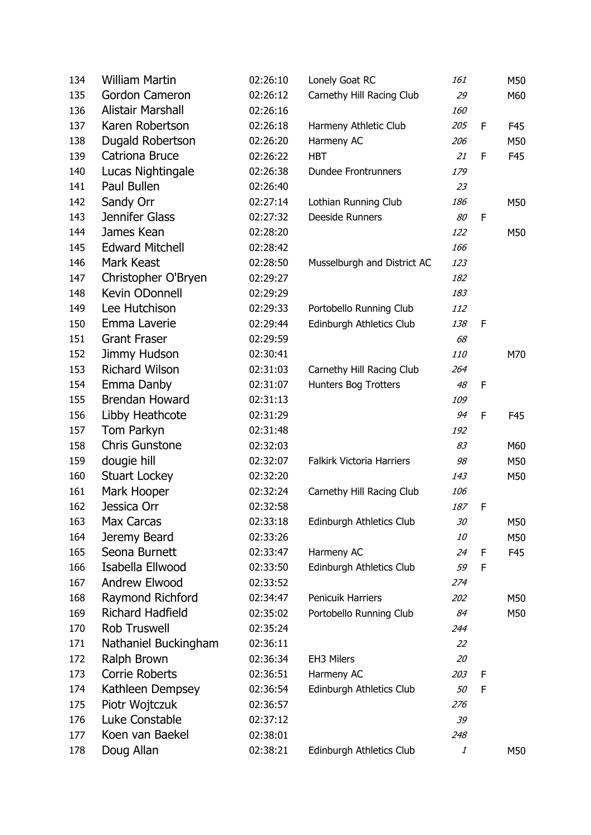| 134 | <b>William Martin</b>   | 02:26:10 | Lonely Goat RC                   | 161 |   | M50 |
|-----|-------------------------|----------|----------------------------------|-----|---|-----|
| 135 | Gordon Cameron          | 02:26:12 | Carnethy Hill Racing Club        | 29  |   | M60 |
| 136 | Alistair Marshall       | 02:26:16 |                                  | 160 |   |     |
| 137 | Karen Robertson         | 02:26:18 | Harmeny Athletic Club            | 205 | F | F45 |
| 138 | Dugald Robertson        | 02:26:20 | Harmeny AC                       | 206 |   | M50 |
| 139 | Catriona Bruce          | 02:26:22 | <b>HBT</b>                       | 21  | F | F45 |
| 140 | Lucas Nightingale       | 02:26:38 | <b>Dundee Frontrunners</b>       | 179 |   |     |
| 141 | Paul Bullen             | 02:26:40 |                                  | 23  |   |     |
| 142 | Sandy Orr               | 02:27:14 | Lothian Running Club             | 186 |   | M50 |
| 143 | Jennifer Glass          | 02:27:32 | Deeside Runners                  | 80  | F |     |
| 144 | James Kean              | 02:28:20 |                                  | 122 |   | M50 |
| 145 | <b>Edward Mitchell</b>  | 02:28:42 |                                  | 166 |   |     |
| 146 | Mark Keast              | 02:28:50 | Musselburgh and District AC      | 123 |   |     |
| 147 | Christopher O'Bryen     | 02:29:27 |                                  | 182 |   |     |
| 148 | Kevin ODonnell          | 02:29:29 |                                  | 183 |   |     |
| 149 | Lee Hutchison           | 02:29:33 | Portobello Running Club          | 112 |   |     |
| 150 | Emma Laverie            | 02:29:44 | Edinburgh Athletics Club         | 138 | F |     |
| 151 | <b>Grant Fraser</b>     | 02:29:59 |                                  | 68  |   |     |
| 152 | Jimmy Hudson            | 02:30:41 |                                  | 110 |   | M70 |
| 153 | <b>Richard Wilson</b>   | 02:31:03 | Carnethy Hill Racing Club        | 264 |   |     |
| 154 | Emma Danby              | 02:31:07 | Hunters Bog Trotters             | 48  | F |     |
| 155 | <b>Brendan Howard</b>   | 02:31:13 |                                  | 109 |   |     |
| 156 | Libby Heathcote         | 02:31:29 |                                  | 94  | F | F45 |
| 157 | Tom Parkyn              | 02:31:48 |                                  | 192 |   |     |
| 158 | <b>Chris Gunstone</b>   | 02:32:03 |                                  | 83  |   | M60 |
| 159 | dougie hill             | 02:32:07 | <b>Falkirk Victoria Harriers</b> | 98  |   | M50 |
| 160 | <b>Stuart Lockey</b>    | 02:32:20 |                                  | 143 |   | M50 |
| 161 | Mark Hooper             | 02:32:24 | Carnethy Hill Racing Club        | 106 |   |     |
| 162 | Jessica Orr             | 02:32:58 |                                  | 187 | F |     |
| 163 | Max Carcas              | 02:33:18 | Edinburgh Athletics Club         | 30  |   | M50 |
| 164 | Jeremy Beard            | 02:33:26 |                                  | 10  |   | M50 |
| 165 | Seona Burnett           | 02:33:47 | Harmeny AC                       | 24  | F | F45 |
| 166 | Isabella Ellwood        | 02:33:50 | Edinburgh Athletics Club         | 59  | F |     |
| 167 | Andrew Elwood           | 02:33:52 |                                  | 274 |   |     |
| 168 | Raymond Richford        | 02:34:47 | Penicuik Harriers                | 202 |   | M50 |
| 169 | <b>Richard Hadfield</b> | 02:35:02 | Portobello Running Club          | 84  |   | M50 |
| 170 | <b>Rob Truswell</b>     | 02:35:24 |                                  | 244 |   |     |
| 171 | Nathaniel Buckingham    | 02:36:11 |                                  | 22  |   |     |
| 172 | Ralph Brown             | 02:36:34 | EH3 Milers                       | 20  |   |     |
| 173 | <b>Corrie Roberts</b>   | 02:36:51 | Harmeny AC                       | 203 | F |     |
| 174 | Kathleen Dempsey        | 02:36:54 | Edinburgh Athletics Club         | 50  | F |     |
| 175 | Piotr Wojtczuk          | 02:36:57 |                                  | 276 |   |     |
| 176 | Luke Constable          | 02:37:12 |                                  | 39  |   |     |
| 177 | Koen van Baekel         | 02:38:01 |                                  | 248 |   |     |
| 178 | Doug Allan              | 02:38:21 | Edinburgh Athletics Club         | 1   |   | M50 |
|     |                         |          |                                  |     |   |     |